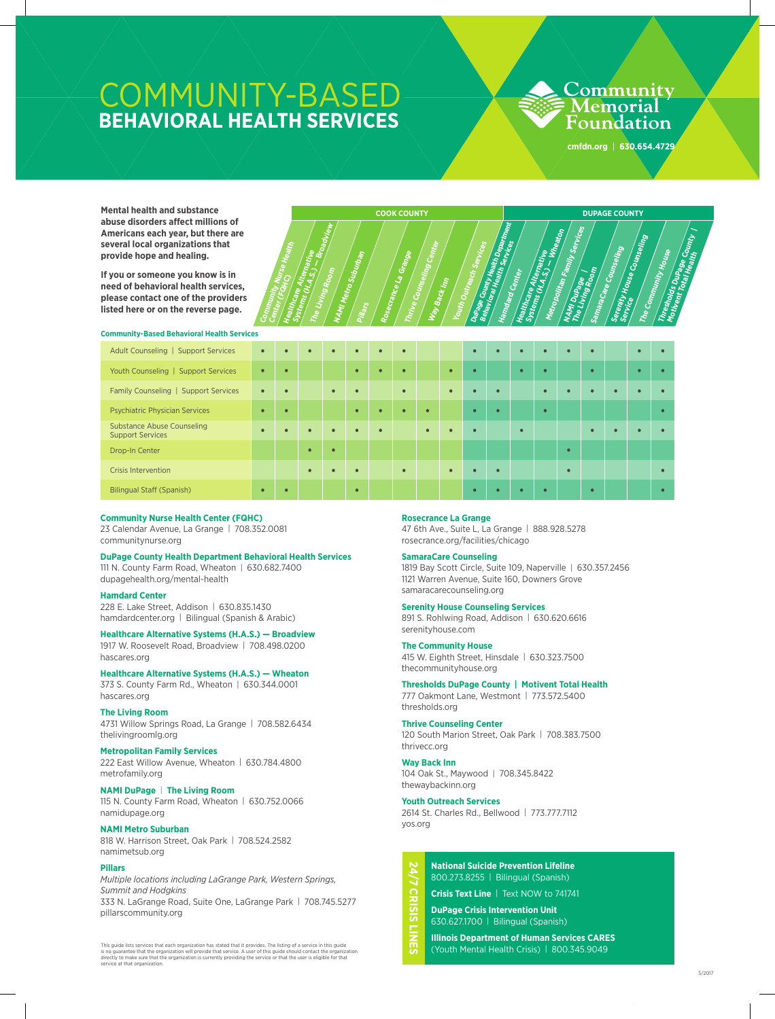# COMMUNITY-BASED **BEHAVIORAL HEALTH SERVICES**

**Community Nurse Health Center (FQHC)**<br>Water (FQHC)<br>Heat

**Healthcare ARC**<br>Systems (Alternative<br>Alternative Registrative<br>The SystemSave Alleman<sub>ts (</sub>\* 1987)<br>The Living (H.A.S.) – Broadview<br><sup>The Living Room</sup>

**The Living Room**

**NAMI Metro Suburban**

**Pillars**

## Community Memorial Foundation

**cmfdn.org** | **630.654.4729**

**Mental health and substance abuse disorders affect millions of Americans each year, but there are several local organizations that provide hope and healing.**

**If you or someone you know is in need of behavioral health services, please contact one of the providers listed here or on the reverse page.**



| <b>Community-Based Behavioral Health Services</b>            |           |           |           |           |           |           |           |           |           |                |           |           |           |           |           |           |           |           |
|--------------------------------------------------------------|-----------|-----------|-----------|-----------|-----------|-----------|-----------|-----------|-----------|----------------|-----------|-----------|-----------|-----------|-----------|-----------|-----------|-----------|
| Adult Counseling   Support Services                          | $\bullet$ | $\bullet$ | $\bullet$ | $\bullet$ | $\bullet$ | $\bullet$ | $\bullet$ |           |           | $\bullet$      | $\bullet$ | $\bullet$ | $\bullet$ | $\bullet$ | $\bullet$ |           | $\bullet$ | $\bullet$ |
| Youth Counseling   Support Services                          | $\bullet$ | $\bullet$ |           |           | $\bullet$ | $\bullet$ | $\bullet$ |           | $\bullet$ | $\blacksquare$ |           | $\bullet$ | $\bullet$ |           | $\bullet$ |           | $\bullet$ | $\bullet$ |
| Family Counseling   Support Services                         | $\bullet$ | $\bullet$ |           | $\bullet$ | $\bullet$ |           | $\bullet$ |           | $\bullet$ | $\bullet$      | $\bullet$ |           | $\bullet$ | $\bullet$ | $\bullet$ | $\bullet$ | $\bullet$ |           |
| <b>Psychiatric Physician Services</b>                        | $\bullet$ | $\bullet$ |           |           | $\bullet$ | $\bullet$ | $\bullet$ | $\bullet$ |           | $\bullet$      | $\bullet$ |           | $\bullet$ |           |           |           |           | $\bullet$ |
| <b>Substance Abuse Counseling</b><br><b>Support Services</b> | $\bullet$ | $\bullet$ | $\bullet$ | $\bullet$ | $\bullet$ | $\bullet$ |           | $\bullet$ | $\bullet$ | $\bullet$      |           | $\bullet$ |           |           | $\bullet$ | $\bullet$ | $\bullet$ |           |
| Drop-In Center                                               |           |           | $\bullet$ | $\bullet$ |           |           |           |           |           |                |           |           |           | $\bullet$ |           |           |           |           |
| <b>Crisis Intervention</b>                                   |           |           | $\bullet$ | $\bullet$ | $\bullet$ |           | $\bullet$ |           | $\bullet$ |                | $\bullet$ |           |           | $\bullet$ |           |           |           | $\bullet$ |
| <b>Bilingual Staff (Spanish)</b>                             | $\bullet$ | $\bullet$ |           |           | $\bullet$ |           |           |           |           | $\bullet$      |           | $\bullet$ | $\bullet$ |           | $\bullet$ |           |           | $\bullet$ |

**Rosecrance La Grange** 

**Thrive Counseling Center**

**Way Back Inn**

Youth Outreach Services<br>Duna Courteach Services<br>Behave Court

Dupage County Health Services<br>Behavioral Health Department<br>Hamdard County Health Department<br>Hamdard County Services **Behavior County Health Services**<br>Integration of the Health September<br>Hamdand County Services **Hamdard Center**

**COOK COUNTY AND RESIDENT REPORTS ON A REPORT OF A REPORT OF A REPORT OF A REPORT OF A REPORT OF A REPORT OF A R** 

Healthcare <sup>Alternative</sup><br>Systems (H.As.)<br>Lindernative System<sup>cane</sup> Allem<sub>and (</sub><br>| Systems (H.A.S.) – When<br>| <sup>Metropolitan – <sup>Wheato</sup>n</sup> Metropolitan Family Services<br>MAM Dunalan Family Services<br>The Liptunges<br>The Liptunge

**NAMI Dupage |**<br>The Livingse | **The Living Room**

**Sa<sub>mara</sub>care Counseling**<br>Serenity Linuxeling<br>Serenity Li

Serenity House Counseling<br>Service House Counseling<br>The Co

The Community House<br>The Sommunity House<br>L<sup>arest</sup>hou

Thresholds <sup>milly House</sup><br>Mothent Touringe County |<br><sup>Mothent</sup> Total Health **Motivent Total Health**

**Service**<br>Service

#### **Community Nurse Health Center (FQHC)**

23 Calendar Avenue, La Grange | 708.352.0081 communitynurse.org

#### **DuPage County Health Department Behavioral Health Services**

111 N. County Farm Road, Wheaton | 630.682.7400 dupagehealth.org/mental-health

#### **Hamdard Center**

228 E. Lake Street, Addison | 630.835.1430 hamdardcenter.org | Bilingual (Spanish & Arabic)

#### **Healthcare Alternative Systems (H.A.S.) — Broadview** 1917 W. Roosevelt Road, Broadview | 708.498.0200

hascares.org

## **Healthcare Alternative Systems (H.A.S.) — Wheaton**

373 S. County Farm Rd., Wheaton | 630.344.0001 hascares.org

#### **The Living Room**

4731 Willow Springs Road, La Grange | 708.582.6434 thelivingroomlg.org

### **Metropolitan Family Services**

222 East Willow Avenue, Wheaton | 630.784.4800 metrofamily.org

#### **NAMI DuPage** | **The Living Room**

115 N. County Farm Road, Wheaton | 630.752.0066 namidupage.org

#### **NAMI Metro Suburban**

818 W. Harrison Street, Oak Park | 708.524.2582 namimetsub.org

#### **Pillars**

*Multiple locations including LaGrange Park, Western Springs, Summit and Hodgkins*

333 N. LaGrange Road, Suite One, LaGrange Park | 708.745.5277 pillarscommunity.org

This guide lists services that each organization has stated that it provides. The listing of a service in this guide<br>dis no guarantee that the organization will provide that service. A user of this guide should contact the

#### **Rosecrance La Grange**

47 6th Ave., Suite L, La Grange | 888.928.5278 rosecrance.org/facilities/chicago

#### **SamaraCare Counseling**

1819 Bay Scott Circle, Suite 109, Naperville | 630.357.2456 1121 Warren Avenue, Suite 160, Downers Grove samaracarecounseling.org

#### **Serenity House Counseling Services**

891 S. Rohlwing Road, Addison | 630.620.6616 serenityhouse.com

# **The Community House**

415 W. Eighth Street, Hinsdale | 630.323.7500 thecommunityhouse.org

#### **Thresholds DuPage County | Motivent Total Health**

777 Oakmont Lane, Westmont | 773.572.5400 thresholds.org

## **Thrive Counseling Center**

120 South Marion Street, Oak Park | 708.383.7500 thrivecc.org

#### **Way Back Inn**

**CRISIS** 

끴

104 Oak St., Maywood | 708.345.8422 thewaybackinn.org

#### **Youth Outreach Services**

2614 St. Charles Rd., Bellwood | 773.777.7112 yos.org

# **24/7 CRISIS LINES National Suicide Prevention Lifeline** 800.273.8255 | Bilingual (Spanish)

**Crisis Text Line** | Text NOW to 741741

**DuPage Crisis Intervention Unit** 630.627.1700 | Bilingual (Spanish)

**Illinois Department of Human Services CARES**  (Youth Mental Health Crisis) | 800.345.9049